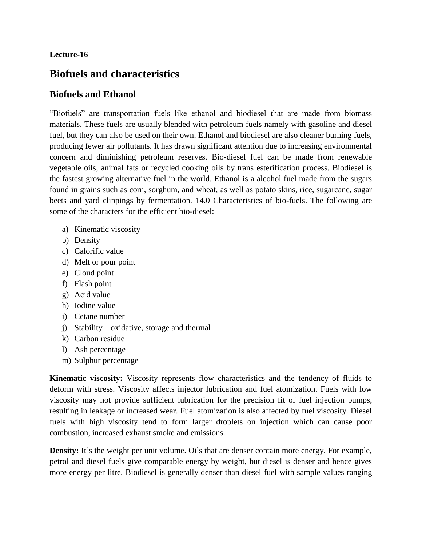#### **Lecture-16**

# **Biofuels and characteristics**

#### **Biofuels and Ethanol**

"Biofuels" are transportation fuels like ethanol and biodiesel that are made from biomass materials. These fuels are usually blended with petroleum fuels namely with gasoline and diesel fuel, but they can also be used on their own. Ethanol and biodiesel are also cleaner burning fuels, producing fewer air pollutants. It has drawn significant attention due to increasing environmental concern and diminishing petroleum reserves. Bio-diesel fuel can be made from renewable vegetable oils, animal fats or recycled cooking oils by trans esterification process. Biodiesel is the fastest growing alternative fuel in the world. Ethanol is a alcohol fuel made from the sugars found in grains such as corn, sorghum, and wheat, as well as potato skins, rice, sugarcane, sugar beets and yard clippings by fermentation. 14.0 Characteristics of bio-fuels. The following are some of the characters for the efficient bio-diesel:

- a) Kinematic viscosity
- b) Density
- c) Calorific value
- d) Melt or pour point
- e) Cloud point
- f) Flash point
- g) Acid value
- h) Iodine value
- i) Cetane number
- j) Stability oxidative, storage and thermal
- k) Carbon residue
- l) Ash percentage
- m) Sulphur percentage

**Kinematic viscosity:** Viscosity represents flow characteristics and the tendency of fluids to deform with stress. Viscosity affects injector lubrication and fuel atomization. Fuels with low viscosity may not provide sufficient lubrication for the precision fit of fuel injection pumps, resulting in leakage or increased wear. Fuel atomization is also affected by fuel viscosity. Diesel fuels with high viscosity tend to form larger droplets on injection which can cause poor combustion, increased exhaust smoke and emissions.

**Density:** It's the weight per unit volume. Oils that are denser contain more energy. For example, petrol and diesel fuels give comparable energy by weight, but diesel is denser and hence gives more energy per litre. Biodiesel is generally denser than diesel fuel with sample values ranging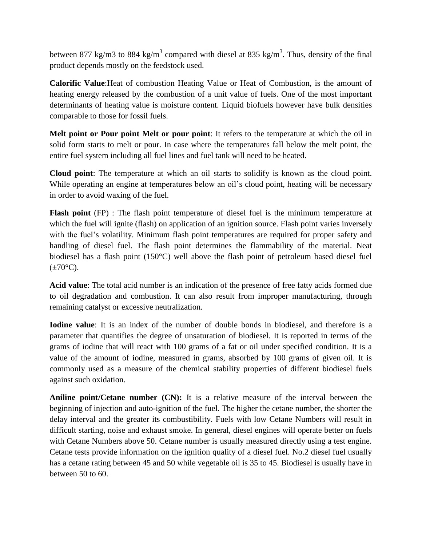between 877 kg/m3 to 884 kg/m<sup>3</sup> compared with diesel at 835 kg/m<sup>3</sup>. Thus, density of the final product depends mostly on the feedstock used.

**Calorific Value**:Heat of combustion Heating Value or Heat of Combustion, is the amount of heating energy released by the combustion of a unit value of fuels. One of the most important determinants of heating value is moisture content. Liquid biofuels however have bulk densities comparable to those for fossil fuels.

**Melt point or Pour point Melt or pour point**: It refers to the temperature at which the oil in solid form starts to melt or pour. In case where the temperatures fall below the melt point, the entire fuel system including all fuel lines and fuel tank will need to be heated.

**Cloud point**: The temperature at which an oil starts to solidify is known as the cloud point. While operating an engine at temperatures below an oil's cloud point, heating will be necessary in order to avoid waxing of the fuel.

**Flash point** (FP) : The flash point temperature of diesel fuel is the minimum temperature at which the fuel will ignite (flash) on application of an ignition source. Flash point varies inversely with the fuel's volatility. Minimum flash point temperatures are required for proper safety and handling of diesel fuel. The flash point determines the flammability of the material. Neat biodiesel has a flash point (150°C) well above the flash point of petroleum based diesel fuel  $(\pm 70^{\circ}C)$ .

**Acid value**: The total acid number is an indication of the presence of free fatty acids formed due to oil degradation and combustion. It can also result from improper manufacturing, through remaining catalyst or excessive neutralization.

**Iodine value**: It is an index of the number of double bonds in biodiesel, and therefore is a parameter that quantifies the degree of unsaturation of biodiesel. It is reported in terms of the grams of iodine that will react with 100 grams of a fat or oil under specified condition. It is a value of the amount of iodine, measured in grams, absorbed by 100 grams of given oil. It is commonly used as a measure of the chemical stability properties of different biodiesel fuels against such oxidation.

**Aniline point/Cetane number (CN):** It is a relative measure of the interval between the beginning of injection and auto-ignition of the fuel. The higher the cetane number, the shorter the delay interval and the greater its combustibility. Fuels with low Cetane Numbers will result in difficult starting, noise and exhaust smoke. In general, diesel engines will operate better on fuels with Cetane Numbers above 50. Cetane number is usually measured directly using a test engine. Cetane tests provide information on the ignition quality of a diesel fuel. No.2 diesel fuel usually has a cetane rating between 45 and 50 while vegetable oil is 35 to 45. Biodiesel is usually have in between 50 to 60.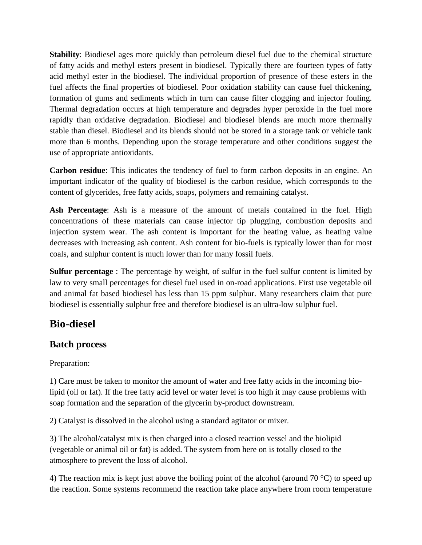**Stability**: Biodiesel ages more quickly than petroleum diesel fuel due to the chemical structure of fatty acids and methyl esters present in biodiesel. Typically there are fourteen types of fatty acid methyl ester in the biodiesel. The individual proportion of presence of these esters in the fuel affects the final properties of biodiesel. Poor oxidation stability can cause fuel thickening, formation of gums and sediments which in turn can cause filter clogging and injector fouling. Thermal degradation occurs at high temperature and degrades hyper peroxide in the fuel more rapidly than oxidative degradation. Biodiesel and biodiesel blends are much more thermally stable than diesel. Biodiesel and its blends should not be stored in a storage tank or vehicle tank more than 6 months. Depending upon the storage temperature and other conditions suggest the use of appropriate antioxidants.

**Carbon residue**: This indicates the tendency of fuel to form carbon deposits in an engine. An important indicator of the quality of biodiesel is the carbon residue, which corresponds to the content of glycerides, free fatty acids, soaps, polymers and remaining catalyst.

**Ash Percentage**: Ash is a measure of the amount of metals contained in the fuel. High concentrations of these materials can cause injector tip plugging, combustion deposits and injection system wear. The ash content is important for the heating value, as heating value decreases with increasing ash content. Ash content for bio-fuels is typically lower than for most coals, and sulphur content is much lower than for many fossil fuels.

**Sulfur percentage** : The percentage by weight, of sulfur in the fuel sulfur content is limited by law to very small percentages for diesel fuel used in on-road applications. First use vegetable oil and animal fat based biodiesel has less than 15 ppm sulphur. Many researchers claim that pure biodiesel is essentially sulphur free and therefore biodiesel is an ultra-low sulphur fuel.

# **Bio-diesel**

### **Batch process**

Preparation:

1) Care must be taken to monitor the amount of water and free fatty acids in the incoming biolipid (oil or fat). If the free fatty acid level or water level is too high it may cause problems with soap formation and the separation of the glycerin by-product downstream.

2) Catalyst is dissolved in the alcohol using a standard agitator or mixer.

3) The alcohol/catalyst mix is then charged into a closed reaction vessel and the biolipid (vegetable or animal oil or fat) is added. The system from here on is totally closed to the atmosphere to prevent the loss of alcohol.

4) The reaction mix is kept just above the boiling point of the alcohol (around 70 °C) to speed up the reaction. Some systems recommend the reaction take place anywhere from room temperature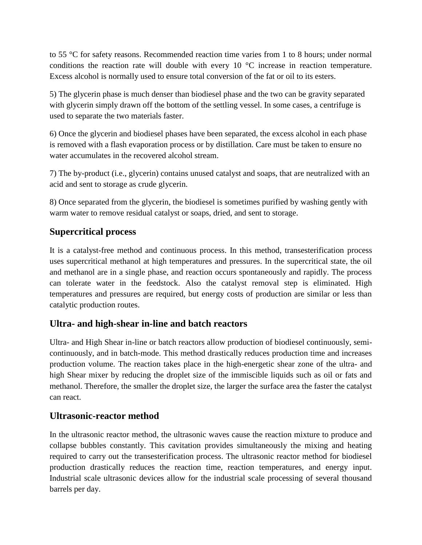to 55 °C for safety reasons. Recommended reaction time varies from 1 to 8 hours; under normal conditions the reaction rate will double with every 10 °C increase in reaction temperature. Excess alcohol is normally used to ensure total conversion of the fat or oil to its esters.

5) The glycerin phase is much denser than biodiesel phase and the two can be gravity separated with glycerin simply drawn off the bottom of the settling vessel. In some cases, a centrifuge is used to separate the two materials faster.

6) Once the glycerin and biodiesel phases have been separated, the excess alcohol in each phase is removed with a flash evaporation process or by distillation. Care must be taken to ensure no water accumulates in the recovered alcohol stream.

7) The by-product (i.e., glycerin) contains unused catalyst and soaps, that are neutralized with an acid and sent to storage as crude glycerin.

8) Once separated from the glycerin, the biodiesel is sometimes purified by washing gently with warm water to remove residual catalyst or soaps, dried, and sent to storage.

## **Supercritical process**

It is a catalyst-free method and continuous process. In this method, transesterification process uses supercritical methanol at high temperatures and pressures. In the supercritical state, the oil and methanol are in a single phase, and reaction occurs spontaneously and rapidly. The process can tolerate water in the feedstock. Also the catalyst removal step is eliminated. High temperatures and pressures are required, but energy costs of production are similar or less than catalytic production routes.

### **Ultra- and high-shear in-line and batch reactors**

Ultra- and High Shear in-line or batch reactors allow production of biodiesel continuously, semicontinuously, and in batch-mode. This method drastically reduces production time and increases production volume. The reaction takes place in the high-energetic shear zone of the ultra- and high Shear mixer by reducing the droplet size of the immiscible liquids such as oil or fats and methanol. Therefore, the smaller the droplet size, the larger the surface area the faster the catalyst can react.

### **Ultrasonic-reactor method**

In the ultrasonic reactor method, the ultrasonic waves cause the reaction mixture to produce and collapse bubbles constantly. This cavitation provides simultaneously the mixing and heating required to carry out the transesterification process. The ultrasonic reactor method for biodiesel production drastically reduces the reaction time, reaction temperatures, and energy input. Industrial scale ultrasonic devices allow for the industrial scale processing of several thousand barrels per day.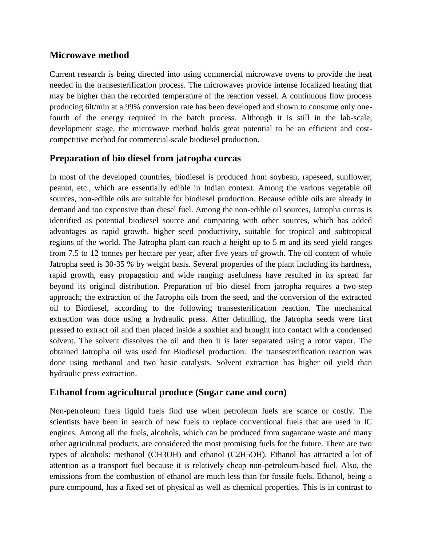#### **Microwave method**

Current research is being directed into using commercial microwave ovens to provide the heat needed in the transesterification process. The microwaves provide intense localized heating that may be higher than the recorded temperature of the reaction vessel. A continuous flow process producing 6lt/min at a 99% conversion rate has been developed and shown to consume only onefourth of the energy required in the batch process. Although it is still in the lab-scale, development stage, the microwave method holds great potential to be an efficient and costcompetitive method for commercial-scale biodiesel production.

### **Preparation of bio diesel from jatropha curcas**

In most of the developed countries, biodiesel is produced from soybean, rapeseed, sunflower, peanut, etc., which are essentially edible in Indian context. Among the various vegetable oil sources, non-edible oils are suitable for biodiesel production. Because edible oils are already in demand and too expensive than diesel fuel. Among the non-edible oil sources, Jatropha curcas is identified as potential biodiesel source and comparing with other sources, which has added advantages as rapid growth, higher seed productivity, suitable for tropical and subtropical regions of the world. The Jatropha plant can reach a height up to 5 m and its seed yield ranges from 7.5 to 12 tonnes per hectare per year, after five years of growth. The oil content of whole Jatropha seed is 30-35 % by weight basis. Several properties of the plant including its hardness, rapid growth, easy propagation and wide ranging usefulness have resulted in its spread far beyond its original distribution. Preparation of bio diesel from jatropha requires a two-step approach; the extraction of the Jatropha oils from the seed, and the conversion of the extracted oil to Biodiesel, according to the following transesterification reaction. The mechanical extraction was done using a hydraulic press. After dehulling, the Jatropha seeds were first pressed to extract oil and then placed inside a soxhlet and brought into contact with a condensed solvent. The solvent dissolves the oil and then it is later separated using a rotor vapor. The obtained Jatropha oil was used for Biodiesel production. The transesterification reaction was done using methanol and two basic catalysts. Solvent extraction has higher oil yield than hydraulic press extraction.

#### **Ethanol from agricultural produce (Sugar cane and corn)**

Non-petroleum fuels liquid fuels find use when petroleum fuels are scarce or costly. The scientists have been in search of new fuels to replace conventional fuels that are used in IC engines. Among all the fuels, alcohols, which can be produced from sugarcane waste and many other agricultural products, are considered the most promising fuels for the future. There are two types of alcohols: methanol (CH3OH) and ethanol (C2H5OH). Ethanol has attracted a lot of attention as a transport fuel because it is relatively cheap non-petroleum-based fuel. Also, the emissions from the combustion of ethanol are much less than for fossile fuels. Ethanol, being a pure compound, has a fixed set of physical as well as chemical properties. This is in contrast to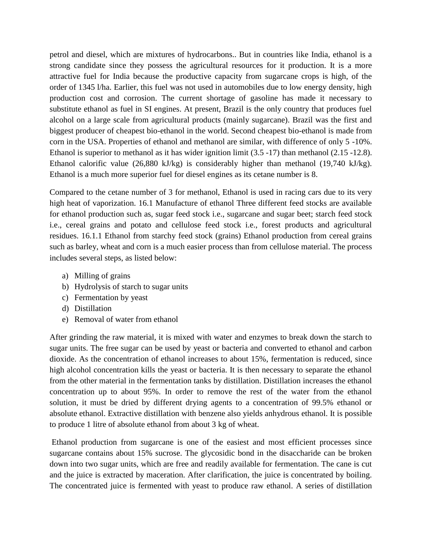petrol and diesel, which are mixtures of hydrocarbons.. But in countries like India, ethanol is a strong candidate since they possess the agricultural resources for it production. It is a more attractive fuel for India because the productive capacity from sugarcane crops is high, of the order of 1345 l/ha. Earlier, this fuel was not used in automobiles due to low energy density, high production cost and corrosion. The current shortage of gasoline has made it necessary to substitute ethanol as fuel in SI engines. At present, Brazil is the only country that produces fuel alcohol on a large scale from agricultural products (mainly sugarcane). Brazil was the first and biggest producer of cheapest bio-ethanol in the world. Second cheapest bio-ethanol is made from corn in the USA. Properties of ethanol and methanol are similar, with difference of only 5 -10%. Ethanol is superior to methanol as it has wider ignition limit  $(3.5 -17)$  than methanol  $(2.15 -12.8)$ . Ethanol calorific value (26,880 kJ/kg) is considerably higher than methanol (19,740 kJ/kg). Ethanol is a much more superior fuel for diesel engines as its cetane number is 8.

Compared to the cetane number of 3 for methanol, Ethanol is used in racing cars due to its very high heat of vaporization. 16.1 Manufacture of ethanol Three different feed stocks are available for ethanol production such as, sugar feed stock i.e., sugarcane and sugar beet; starch feed stock i.e., cereal grains and potato and cellulose feed stock i.e., forest products and agricultural residues. 16.1.1 Ethanol from starchy feed stock (grains) Ethanol production from cereal grains such as barley, wheat and corn is a much easier process than from cellulose material. The process includes several steps, as listed below:

- a) Milling of grains
- b) Hydrolysis of starch to sugar units
- c) Fermentation by yeast
- d) Distillation
- e) Removal of water from ethanol

After grinding the raw material, it is mixed with water and enzymes to break down the starch to sugar units. The free sugar can be used by yeast or bacteria and converted to ethanol and carbon dioxide. As the concentration of ethanol increases to about 15%, fermentation is reduced, since high alcohol concentration kills the yeast or bacteria. It is then necessary to separate the ethanol from the other material in the fermentation tanks by distillation. Distillation increases the ethanol concentration up to about 95%. In order to remove the rest of the water from the ethanol solution, it must be dried by different drying agents to a concentration of 99.5% ethanol or absolute ethanol. Extractive distillation with benzene also yields anhydrous ethanol. It is possible to produce 1 litre of absolute ethanol from about 3 kg of wheat.

Ethanol production from sugarcane is one of the easiest and most efficient processes since sugarcane contains about 15% sucrose. The glycosidic bond in the disaccharide can be broken down into two sugar units, which are free and readily available for fermentation. The cane is cut and the juice is extracted by maceration. After clarification, the juice is concentrated by boiling. The concentrated juice is fermented with yeast to produce raw ethanol. A series of distillation